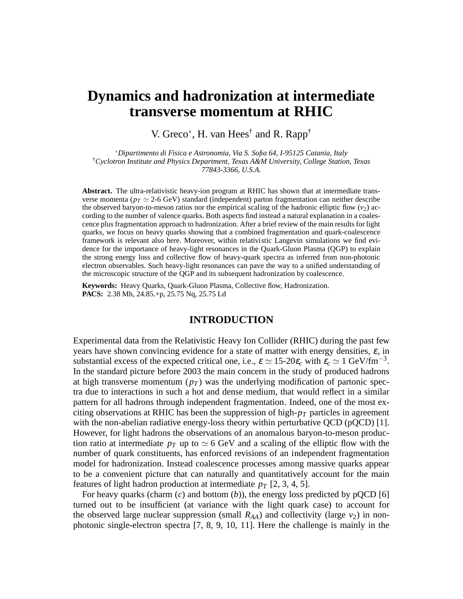# **Dynamics and hadronization at intermediate transverse momentum at RHIC**

V. Greco<sup>∗</sup>, H. van Hees<sup>†</sup> and R. Rapp<sup>†</sup>

∗*Dipartimento di Fisica e Astronomia, Via S. Sofia 64, I-95125 Catania, Italy* †*Cyclotron Institute and Physics Department, Texas A&M University, College Station, Texas 77843-3366, U.S.A.*

**Abstract.** The ultra-relativistic heavy-ion program at RHIC has shown that at intermediate transverse momenta ( $p_T \simeq 2$ -6 GeV) standard (independent) parton fragmentation can neither describe the observed baryon-to-meson ratios nor the empirical scaling of the hadronic elliptic flow  $(v_2)$  according to the number of valence quarks. Both aspects find instead a natural explanation in a coalescence plus fragmentation approach to hadronization. After a brief review of the main results for light quarks, we focus on heavy quarks showing that a combined fragmentation and quark-coalescence framework is relevant also here. Moreover, within relativistic Langevin simulations we find evidence for the importance of heavy-light resonances in the Quark-Gluon Plasma (QGP) to explain the strong energy loss and collective flow of heavy-quark spectra as inferred from non-photonic electron observables. Such heavy-light resonances can pave the way to a unified understanding of the microscopic structure of the QGP and its subsequent hadronization by coalescence.

**Keywords:** Heavy Quarks, Quark-Gluon Plasma, Collective flow, Hadronization. **PACS:** 2.38 Mh, 24.85.+p, 25.75 Nq, 25.75 Ld

### **INTRODUCTION**

Experimental data from the Relativistic Heavy Ion Collider (RHIC) during the past few years have shown convincing evidence for a state of matter with energy densities,  $\varepsilon$ , in substantial excess of the expected critical one, i.e.,  $\varepsilon \simeq 15{\text -}20\varepsilon_c$  with  $\varepsilon_c \simeq 1 \text{ GeV/fm}^{-3}$ . In the standard picture before 2003 the main concern in the study of produced hadrons at high transverse momentum  $(p_T)$  was the underlying modification of partonic spectra due to interactions in such a hot and dense medium, that would reflect in a similar pattern for all hadrons through independent fragmentation. Indeed, one of the most exciting observations at RHIC has been the suppression of high- $p_T$  particles in agreement with the non-abelian radiative energy-loss theory within perturbative QCD (pQCD) [1]. However, for light hadrons the observations of an anomalous baryon-to-meson production ratio at intermediate  $p_T$  up to  $\simeq 6$  GeV and a scaling of the elliptic flow with the number of quark constituents, has enforced revisions of an independent fragmentation model for hadronization. Instead coalescence processes among massive quarks appear to be a convenient picture that can naturally and quantitatively account for the main features of light hadron production at intermediate  $p_T$  [2, 3, 4, 5].

For heavy quarks (charm  $(c)$  and bottom  $(b)$ ), the energy loss predicted by pQCD [6] turned out to be insufficient (at variance with the light quark case) to account for the observed large nuclear suppression (small  $R_{AA}$ ) and collectivity (large  $v_2$ ) in nonphotonic single-electron spectra [7, 8, 9, 10, 11]. Here the challenge is mainly in the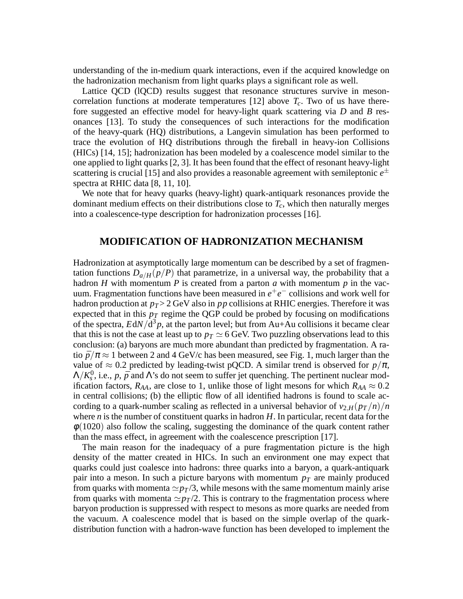understanding of the in-medium quark interactions, even if the acquired knowledge on the hadronization mechanism from light quarks plays a significant role as well.

Lattice QCD (lQCD) results suggest that resonance structures survive in mesoncorrelation functions at moderate temperatures  $[12]$  above  $T_c$ . Two of us have therefore suggested an effective model for heavy-light quark scattering via *D* and *B* resonances [13]. To study the consequences of such interactions for the modification of the heavy-quark (HQ) distributions, a Langevin simulation has been performed to trace the evolution of HQ distributions through the fireball in heavy-ion Collisions (HICs) [14, 15]; hadronization has been modeled by a coalescence model similar to the one applied to light quarks [2, 3]. It has been found that the effect of resonant heavy-light scattering is crucial [15] and also provides a reasonable agreement with semileptonic  $e^{\pm}$ spectra at RHIC data [8, 11, 10].

We note that for heavy quarks (heavy-light) quark-antiquark resonances provide the dominant medium effects on their distributions close to  $T_c$ , which then naturally merges into a coalescence-type description for hadronization processes [16].

#### **MODIFICATION OF HADRONIZATION MECHANISM**

Hadronization at asymptotically large momentum can be described by a set of fragmentation functions  $D_{a/H}(p/P)$  that parametrize, in a universal way, the probability that a hadron *H* with momentum *P* is created from a parton *a* with momentum  $p$  in the vacuum. Fragmentation functions have been measured in  $e^+e^-$  collisions and work well for hadron production at  $p_T > 2$  GeV also in *pp* collisions at RHIC energies. Therefore it was expected that in this  $p_T$  regime the QGP could be probed by focusing on modifications of the spectra,  $EdN/d^3p$ , at the parton level; but from Au+Au collisions it became clear that this is not the case at least up to  $p_T \simeq 6$  GeV. Two puzzling observations lead to this conclusion: (a) baryons are much more abundant than predicted by fragmentation. A ratio  $\bar{p}/\pi \approx 1$  between 2 and 4 GeV/c has been measured, see Fig. 1, much larger than the value of  $\approx 0.2$  predicted by leading-twist pQCD. A similar trend is observed for  $p/\pi$ ,  $\Lambda/K_s^0$ , i.e., *p*,  $\bar{p}$  and  $\Lambda$ 's do not seem to suffer jet quenching. The pertinent nuclear modification factors,  $R_{AA}$ , are close to 1, unlike those of light mesons for which  $R_{AA} \approx 0.2$ in central collisions; (b) the elliptic flow of all identified hadrons is found to scale according to a quark-number scaling as reflected in a universal behavior of  $v_{2,H}(p_T/n)/n$ where *n* is the number of constituent quarks in hadron *H*. In particular, recent data for the  $\phi(1020)$  also follow the scaling, suggesting the dominance of the quark content rather than the mass effect, in agreement with the coalescence prescription [17].

The main reason for the inadequacy of a pure fragmentation picture is the high density of the matter created in HICs. In such an environment one may expect that quarks could just coalesce into hadrons: three quarks into a baryon, a quark-antiquark pair into a meson. In such a picture baryons with momentum *p<sup>T</sup>* are mainly produced from quarks with momenta  $\simeq p_T/3$ , while mesons with the same momentum mainly arise from quarks with momenta  $\simeq p_T/2$ . This is contrary to the fragmentation process where baryon production is suppressed with respect to mesons as more quarks are needed from the vacuum. A coalescence model that is based on the simple overlap of the quarkdistribution function with a hadron-wave function has been developed to implement the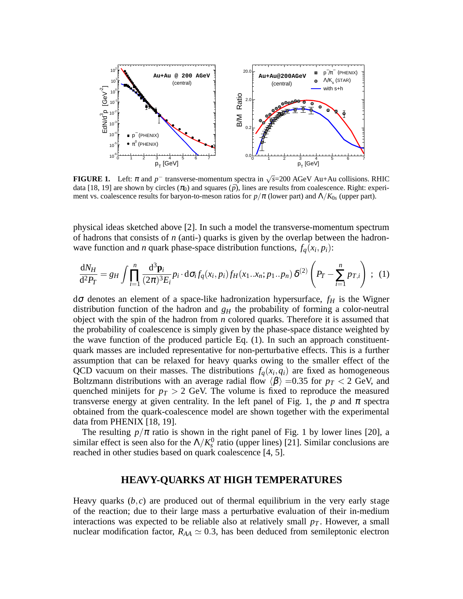

**FIGURE 1.** Left:  $\pi$  and  $p^-$  transverse-momentum spectra in  $\sqrt{s}$ =200 AGeV Au+Au collisions. RHIC data [18, 19] are shown by circles  $(\pi_0)$  and squares  $(\bar{p})$ , lines are results from coalescence. Right: experiment vs. coalescence results for baryon-to-meson ratios for  $p/\pi$  (lower part) and  $\Lambda/K_{0s}$  (upper part).

physical ideas sketched above [2]. In such a model the transverse-momentum spectrum of hadrons that consists of *n* (anti-) quarks is given by the overlap between the hadronwave function and *n* quark phase-space distribution functions,  $f_q(x_i, p_i)$ :

$$
\frac{\mathrm{d}N_H}{\mathrm{d}^2 P_T} = g_H \int \prod_{i=1}^n \frac{\mathrm{d}^3 \mathbf{p}_i}{(2\pi)^3 E_i} p_i \cdot \mathrm{d}\sigma_i f_q(x_i, p_i) f_H(x_1 \dots x_n; p_1 \dots p_n) \delta^{(2)} \left( P_T - \sum_{i=1}^n p_{T,i} \right) ; \tag{1}
$$

d<sup>σ</sup> denotes an element of a space-like hadronization hypersurface, *f<sup>H</sup>* is the Wigner distribution function of the hadron and  $g<sub>H</sub>$  the probability of forming a color-neutral object with the spin of the hadron from *n* colored quarks. Therefore it is assumed that the probability of coalescence is simply given by the phase-space distance weighted by the wave function of the produced particle Eq. (1). In such an approach constituentquark masses are included representative for non-perturbative effects. This is a further assumption that can be relaxed for heavy quarks owing to the smaller effect of the QCD vacuum on their masses. The distributions  $f_q(x_i, q_i)$  are fixed as homogeneous Boltzmann distributions with an average radial flow  $\langle \beta \rangle =0.35$  for  $p_T < 2$  GeV, and quenched minijets for  $p_T > 2$  GeV. The volume is fixed to reproduce the measured transverse energy at given centrality. In the left panel of Fig. 1, the  $p$  and  $\pi$  spectra obtained from the quark-coalescence model are shown together with the experimental data from PHENIX [18, 19].

The resulting  $p/\pi$  ratio is shown in the right panel of Fig. 1 by lower lines [20], a similar effect is seen also for the  $\Lambda/K_s^0$  ratio (upper lines) [21]. Similar conclusions are reached in other studies based on quark coalescence [4, 5].

## **HEAVY-QUARKS AT HIGH TEMPERATURES**

Heavy quarks  $(b, c)$  are produced out of thermal equilibrium in the very early stage of the reaction; due to their large mass a perturbative evaluation of their in-medium interactions was expected to be reliable also at relatively small  $p<sub>T</sub>$ . However, a small nuclear modification factor,  $R_{AA} \simeq 0.3$ , has been deduced from semileptonic electron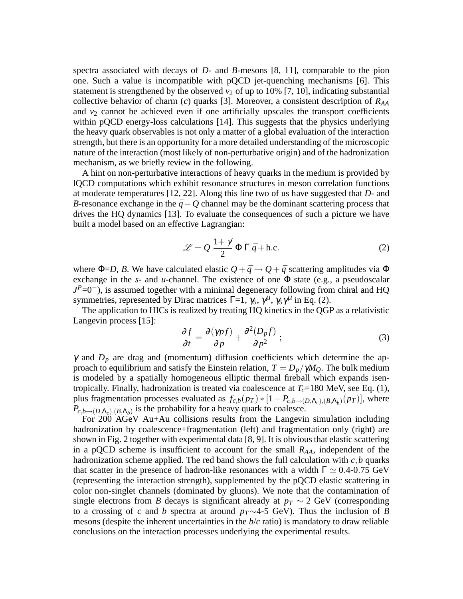spectra associated with decays of *D*- and *B*-mesons [8, 11], comparable to the pion one. Such a value is incompatible with pQCD jet-quenching mechanisms [6]. This statement is strengthened by the observed  $v_2$  of up to 10% [7, 10], indicating substantial collective behavior of charm (*c*) quarks [3]. Moreover, a consistent description of *RAA* and  $v_2$  cannot be achieved even if one artificially upscales the transport coefficients within pQCD energy-loss calculations [14]. This suggests that the physics underlying the heavy quark observables is not only a matter of a global evaluation of the interaction strength, but there is an opportunity for a more detailed understanding of the microscopic nature of the interaction (most likely of non-perturbative origin) and of the hadronization mechanism, as we briefly review in the following.

A hint on non-perturbative interactions of heavy quarks in the medium is provided by lQCD computations which exhibit resonance structures in meson correlation functions at moderate temperatures [12, 22]. Along this line two of us have suggested that *D*- and *B*-resonance exchange in the  $\bar{q}$  − *Q* channel may be the dominant scattering process that drives the HQ dynamics [13]. To evaluate the consequences of such a picture we have built a model based on an effective Lagrangian:

$$
\mathcal{L} = Q \frac{1 + \gamma}{2} \Phi \Gamma \bar{q} + \text{h.c.}
$$
 (2)

where  $\Phi$ =*D*, *B*. We have calculated elastic  $Q + \bar{q} \rightarrow Q + \bar{q}$  scattering amplitudes via  $\Phi$ exchange in the  $s$ - and  $u$ -channel. The existence of one  $\Phi$  state (e.g., a pseudoscalar *J*<sup>P</sup>=0<sup>−</sup>), is assumed together with a minimal degeneracy following from chiral and HQ symmetries, represented by Dirac matrices  $\Gamma = 1$ ,  $\gamma_5$ ,  $\gamma^{\mu}$ ,  $\gamma_5 \gamma^{\mu}$  in Eq. (2).

The application to HICs is realized by treating HQ kinetics in the QGP as a relativistic Langevin process [15]:

$$
\frac{\partial f}{\partial t} = \frac{\partial (\gamma pf)}{\partial p} + \frac{\partial^2 (D_p f)}{\partial p^2} ; \qquad (3)
$$

 $\gamma$  and  $D_p$  are drag and (momentum) diffusion coefficients which determine the approach to equilibrium and satisfy the Einstein relation,  $T = D_p / \gamma M_Q$ . The bulk medium is modeled by a spatially homogeneous elliptic thermal fireball which expands isentropically. Finally, hadronization is treated via coalescence at  $T_c$ =180 MeV, see Eq. (1), plus fragmentation processes evaluated as  $f_{c,b}(p_T) * [1 - P_{c,b \to (D,\Lambda_c),(B,\Lambda_b)}(p_T)]$ , where  $P_{c,b\rightarrow(D,\Lambda_c),(B,\Lambda_b)}$  is the probability for a heavy quark to coalesce.

For 200 AGeV Au+Au collisions results from the Langevin simulation including hadronization by coalescence+fragmentation (left) and fragmentation only (right) are shown in Fig. 2 together with experimental data [8, 9]. It is obvious that elastic scattering in a pQCD scheme is insufficient to account for the small *RAA*, independent of the hadronization scheme applied. The red band shows the full calculation with  $c$ , *b* quarks that scatter in the presence of hadron-like resonances with a width  $\Gamma \simeq 0.4$ -0.75 GeV (representing the interaction strength), supplemented by the pQCD elastic scattering in color non-singlet channels (dominated by gluons). We note that the contamination of single electrons from *B* decays is significant already at  $p_T \sim 2$  GeV (corresponding to a crossing of *c* and *b* spectra at around *pT*∼4-5 GeV). Thus the inclusion of *B* mesons (despite the inherent uncertainties in the *b*/*c* ratio) is mandatory to draw reliable conclusions on the interaction processes underlying the experimental results.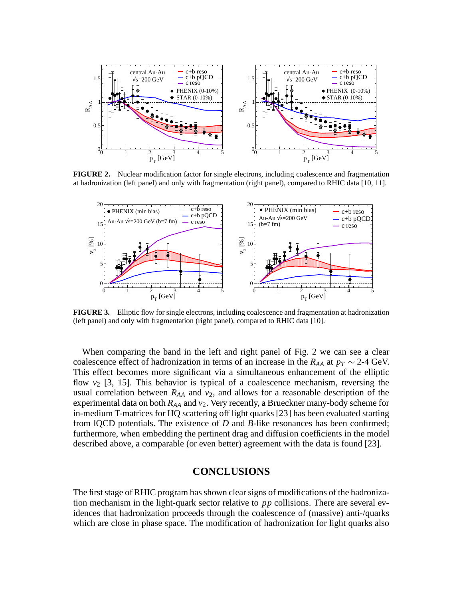

**FIGURE 2.** Nuclear modification factor for single electrons, including coalescence and fragmentation at hadronization (left panel) and only with fragmentation (right panel), compared to RHIC data [10, 11].



**FIGURE 3.** Elliptic flow for single electrons, including coalescence and fragmentation at hadronization (left panel) and only with fragmentation (right panel), compared to RHIC data [10].

When comparing the band in the left and right panel of Fig. 2 we can see a clear coalescence effect of hadronization in terms of an increase in the  $R_{AA}$  at  $p_T \sim 2$ -4 GeV. This effect becomes more significant via a simultaneous enhancement of the elliptic flow  $v_2$  [3, 15]. This behavior is typical of a coalescence mechanism, reversing the usual correlation between  $R_{AA}$  and  $v_2$ , and allows for a reasonable description of the experimental data on both *RAA* and *v*2. Very recently, a Brueckner many-body scheme for in-medium T-matrices for HQ scattering off light quarks [23] has been evaluated starting from lQCD potentials. The existence of *D* and *B*-like resonances has been confirmed; furthermore, when embedding the pertinent drag and diffusion coefficients in the model described above, a comparable (or even better) agreement with the data is found [23].

# **CONCLUSIONS**

The first stage of RHIC program has shown clear signs of modifications of the hadronization mechanism in the light-quark sector relative to *pp* collisions. There are several evidences that hadronization proceeds through the coalescence of (massive) anti-/quarks which are close in phase space. The modification of hadronization for light quarks also